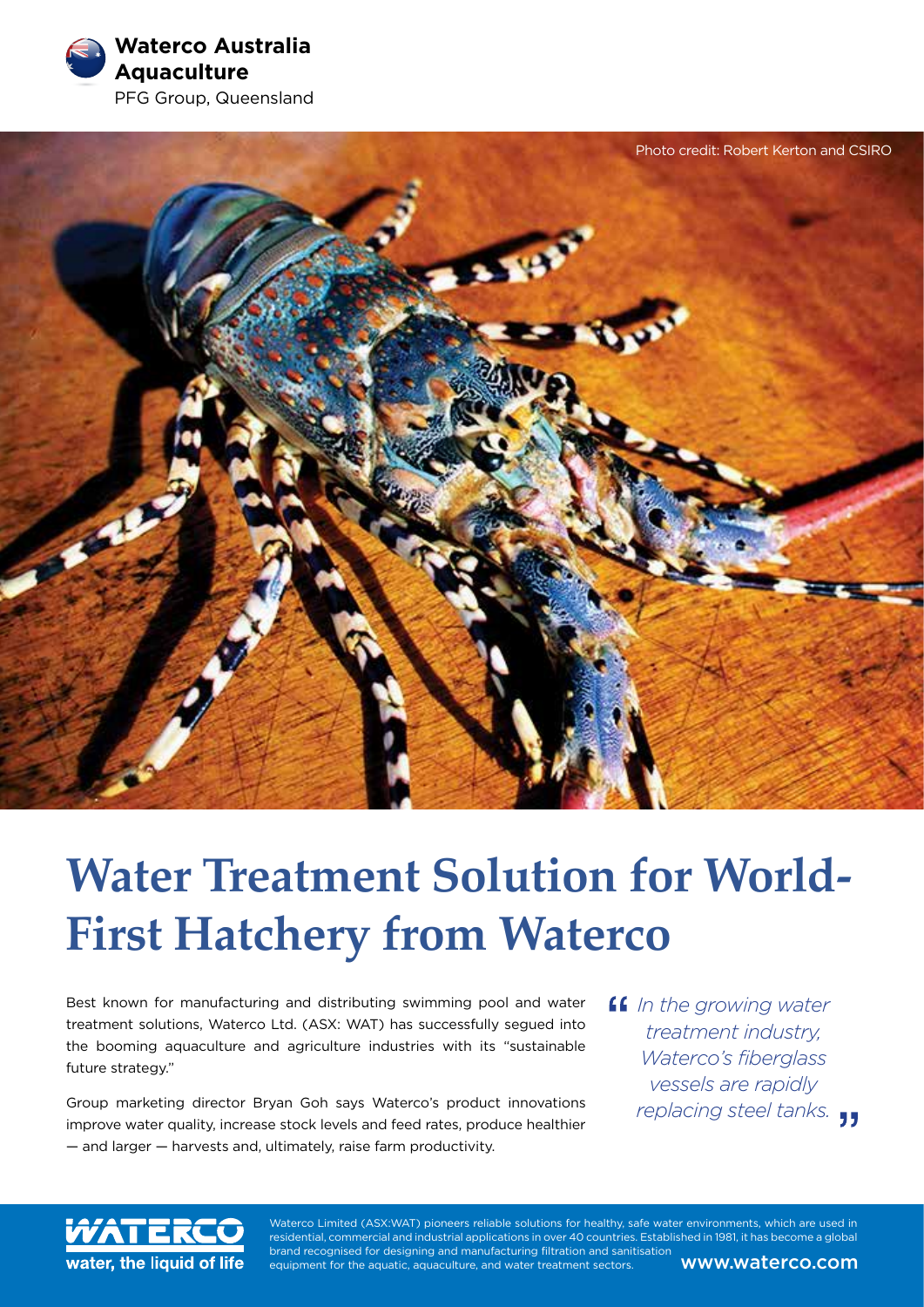**Waterco Australia Aquaculture** PFG Group, Queensland



# **Water Treatment Solution for World-First Hatchery from Waterco**

Best known for manufacturing and distributing swimming pool and water treatment solutions, Waterco Ltd. (ASX: WAT) has successfully segued into the booming aquaculture and agriculture industries with its "sustainable future strategy."

Group marketing director Bryan Goh says Waterco's product innovations improve water quality, increase stock levels and feed rates, produce healthier — and larger — harvests and, ultimately, raise farm productivity.

*In the growing water treatment industry, Waterco's fiberglass vessels are rapidly replacing steel tanks.*



Waterco Limited (ASX:WAT) pioneers reliable solutions for healthy, safe water environments, which are used in residential, commercial and industrial applications in over 40 countries. Established in 1981, it has become a global brand recognised for designing and manufacturing filtration and sanitisation equipment for the aquatic, aquaculture, and water treatment sectors. **WWW.Waterco.com**